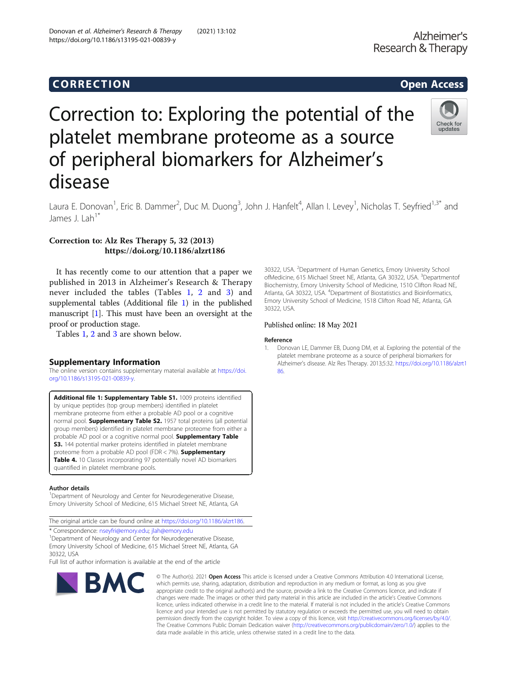# Correction to: Exploring the potential of the platelet membrane proteome as a source of peripheral biomarkers for Alzheimer's disease



Laura E. Donovan<sup>1</sup>, Eric B. Dammer<sup>2</sup>, Duc M. Duong<sup>3</sup>, John J. Hanfelt<sup>4</sup>, Allan I. Levey<sup>1</sup>, Nicholas T. Seyfried<sup>1,3\*</sup> and James  $1$  Lah<sup>1\*</sup>

# Correction to: Alz Res Therapy 5, 32 (2013) https://doi.org/10.1186/alzrt186

It has recently come to our attention that a paper we published in 2013 in Alzheimer's Research & Therapy never included the tables (Tables [1](#page-1-0), [2](#page-1-0) and [3\)](#page-1-0) and supplemental tables (Additional file 1) in the published manuscript [1]. This must have been an oversight at the proof or production stage.

Tables [1](#page-1-0), [2](#page-1-0) and [3](#page-1-0) are shown below.

# Supplementary Information

The online version contains supplementary material available at [https://doi.](https://doi.org/10.1186/s13195-021-00839-y) [org/10.1186/s13195-021-00839-y](https://doi.org/10.1186/s13195-021-00839-y).

Additional file 1: Supplementary Table S1. 1009 proteins identified by unique peptides (top group members) identified in platelet membrane proteome from either a probable AD pool or a cognitive normal pool. **Supplementary Table S2.** 1957 total proteins (all potential group members) identified in platelet membrane proteome from either a probable AD pool or a cognitive normal pool. Supplementary Table S3. 144 potential marker proteins identified in platelet membrane proteome from a probable AD pool (FDR < 7%). Supplementary Table 4. 10 Classes incorporating 97 potentially novel AD biomarkers quantified in platelet membrane pools.

### Author details

<sup>1</sup>Department of Neurology and Center for Neurodegenerative Disease, Emory University School of Medicine, 615 Michael Street NE, Atlanta, GA

The original article can be found online at <https://doi.org/10.1186/alzrt186>.

\* Correspondence: [nseyfri@emory.edu](mailto:nseyfri@emory.edu); [jlah@emory.edu](mailto:jlah@emory.edu) <sup>1</sup>

<sup>1</sup>Department of Neurology and Center for Neurodegenerative Disease, Emory University School of Medicine, 615 Michael Street NE, Atlanta, GA 30322, USA

Full list of author information is available at the end of the article



© The Author(s), 2021 **Open Access** This article is licensed under a Creative Commons Attribution 4.0 International License, which permits use, sharing, adaptation, distribution and reproduction in any medium or format, as long as you give appropriate credit to the original author(s) and the source, provide a link to the Creative Commons licence, and indicate if changes were made. The images or other third party material in this article are included in the article's Creative Commons licence, unless indicated otherwise in a credit line to the material. If material is not included in the article's Creative Commons licence and your intended use is not permitted by statutory regulation or exceeds the permitted use, you will need to obtain permission directly from the copyright holder. To view a copy of this licence, visit [http://creativecommons.org/licenses/by/4.0/.](http://creativecommons.org/licenses/by/4.0/) The Creative Commons Public Domain Dedication waiver [\(http://creativecommons.org/publicdomain/zero/1.0/](http://creativecommons.org/publicdomain/zero/1.0/)) applies to the data made available in this article, unless otherwise stated in a credit line to the data.

30322, USA. <sup>2</sup>Department of Human Genetics, Emory University School ofMedicine, 615 Michael Street NE, Atlanta, GA 30322, USA. <sup>3</sup>Departmentof Biochemistry, Emory University School of Medicine, 1510 Clifton Road NE, Atlanta, GA 30322, USA. <sup>4</sup>Department of Biostatistics and Bioinformatics Emory University School of Medicine, 1518 Clifton Road NE, Atlanta, GA 30322, USA.

## Published online: 18 May 2021

### Reference

1. Donovan LE, Dammer EB, Duong DM, et al. Exploring the potential of the platelet membrane proteome as a source of peripheral biomarkers for Alzheimer's disease. Alz Res Therapy. 2013;5:32. [https://doi.org/10.1186/alzrt1](https://doi.org/10.1186/alzrt186) [86.](https://doi.org/10.1186/alzrt186)